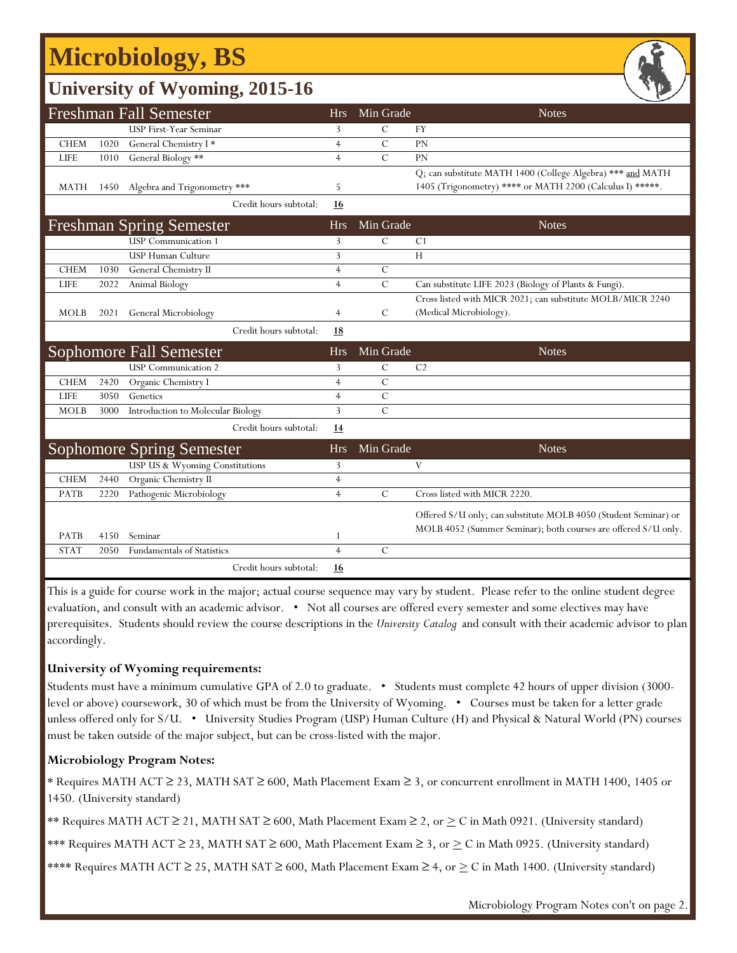## **Microbiology, BS**

## **University of Wyoming, 2015-16**

|             |      | <b>Freshman Fall Semester</b>                                      | <b>Hrs</b>     | Min Grade     | <b>Notes</b>                                                    |
|-------------|------|--------------------------------------------------------------------|----------------|---------------|-----------------------------------------------------------------|
|             |      | <b>USP First-Year Seminar</b>                                      | 3              | $\mathcal{C}$ | <b>FY</b>                                                       |
| <b>CHEM</b> | 1020 | General Chemistry I*                                               | $\overline{4}$ | $\mathcal{C}$ | <b>PN</b>                                                       |
| <b>LIFE</b> | 1010 | General Biology **                                                 | $\overline{4}$ | $\mathcal{C}$ | PN                                                              |
|             |      |                                                                    |                |               | Q; can substitute MATH 1400 (College Algebra) *** and MATH      |
| <b>MATH</b> | 1450 | Algebra and Trigonometry ***                                       | 5              |               | 1405 (Trigonometry) **** or MATH 2200 (Calculus I) *****.       |
|             |      | Credit hours subtotal:                                             | 16             |               |                                                                 |
|             |      | <b>Freshman Spring Semester</b>                                    | <b>Hrs</b>     | Min Grade     | <b>Notes</b>                                                    |
|             |      | <b>USP</b> Communication 1                                         | 3              | $\mathcal{C}$ | C <sub>1</sub>                                                  |
|             |      | <b>USP Human Culture</b>                                           | 3              |               | H                                                               |
| <b>CHEM</b> | 1030 | General Chemistry II                                               | $\overline{4}$ | $\mathcal{C}$ |                                                                 |
| <b>LIFE</b> | 2022 | Animal Biology                                                     | $\overline{4}$ | $\mathcal{C}$ | Can substitute LIFE 2023 (Biology of Plants & Fungi).           |
|             |      |                                                                    |                |               | Cross listed with MICR 2021; can substitute MOLB/MICR 2240      |
| <b>MOLB</b> | 2021 | General Microbiology                                               | $\overline{4}$ | C             | (Medical Microbiology).                                         |
|             |      | Credit hours subtotal:                                             | <b>18</b>      |               |                                                                 |
|             |      |                                                                    |                |               |                                                                 |
|             |      | <b>Sophomore Fall Semester</b>                                     | <b>Hrs</b>     | Min Grade     | <b>Notes</b>                                                    |
|             |      | <b>USP</b> Communication 2                                         | 3              | $\mathcal{C}$ | C <sub>2</sub>                                                  |
| <b>CHEM</b> | 2420 | Organic Chemistry I                                                | $\overline{4}$ | $\mathcal{C}$ |                                                                 |
| <b>LIFE</b> | 3050 | Genetics                                                           | $\overline{4}$ | $\mathcal{C}$ |                                                                 |
| <b>MOLB</b> | 3000 | Introduction to Molecular Biology                                  | 3              | $\mathcal{C}$ |                                                                 |
|             |      | Credit hours subtotal:                                             | <u>14</u>      |               |                                                                 |
|             |      |                                                                    | <b>Hrs</b>     | Min Grade     | <b>Notes</b>                                                    |
|             |      | <b>Sophomore Spring Semester</b><br>USP US & Wyoming Constitutions | 3              |               | V                                                               |
| <b>CHEM</b> | 2440 | Organic Chemistry II                                               | $\overline{4}$ |               |                                                                 |
| PATB        | 2220 | Pathogenic Microbiology                                            | $\overline{4}$ | $\mathbf C$   | Cross listed with MICR 2220.                                    |
|             |      |                                                                    |                |               |                                                                 |
|             |      |                                                                    |                |               | Offered S/U only; can substitute MOLB 4050 (Student Seminar) or |
| PATB        | 4150 | Seminar                                                            | 1              |               | MOLB 4052 (Summer Seminar); both courses are offered S/U only.  |
| <b>STAT</b> | 2050 | Fundamentals of Statistics                                         | $\overline{4}$ | $\mathcal{C}$ |                                                                 |

This is a guide for course work in the major; actual course sequence may vary by student. Please refer to the online student degree evaluation, and consult with an academic advisor. • Not all courses are offered every semester and some electives may have prerequisites. Students should review the course descriptions in the *University Catalog* and consult with their academic advisor to plan accordingly.

### **University of Wyoming requirements:**

Students must have a minimum cumulative GPA of 2.0 to graduate. • Students must complete 42 hours of upper division (3000 level or above) coursework, 30 of which must be from the University of Wyoming. • Courses must be taken for a letter grade unless offered only for S/U. • University Studies Program (USP) Human Culture (H) and Physical & Natural World (PN) courses must be taken outside of the major subject, but can be cross-listed with the major.

### **Microbiology Program Notes:**

\* Requires MATH ACT ≥ 23, MATH SAT ≥ 600, Math Placement Exam ≥ 3, or concurrent enrollment in MATH 1400, 1405 or 1450. (University standard)

\*\* Requires MATH ACT ≥ 21, MATH SAT ≥ 600, Math Placement Exam ≥ 2, or  $\geq$  C in Math 0921. (University standard)

\*\*\* Requires MATH ACT ≥ 23, MATH SAT ≥ 600, Math Placement Exam ≥ 3, or > C in Math 0925. (University standard)

\*\*\*\* Requires MATH ACT  $\geq$  25, MATH SAT  $\geq$  600, Math Placement Exam  $\geq$  4, or  $\geq$  C in Math 1400. (University standard)